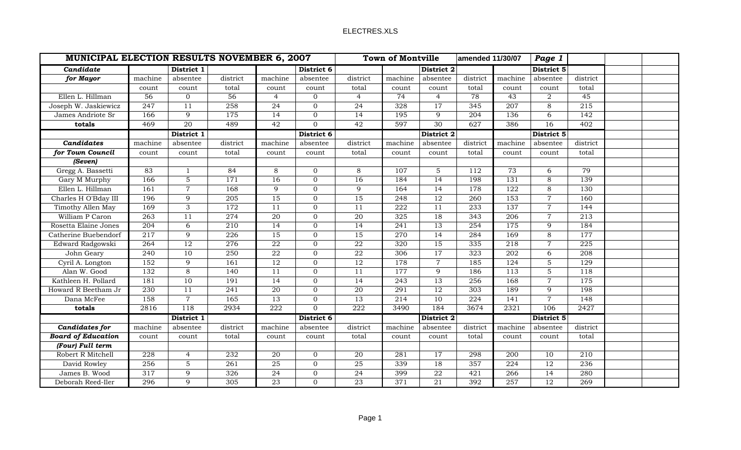|                           | <b>MUNICIPAL ELECTION RESULTS NOVEMBER 6, 2007</b> |                 |                  |                 |                  |                  | <b>Town of Montville</b><br>amended 11/30/07 |                 |                  | Page 1           |                |                  |  |
|---------------------------|----------------------------------------------------|-----------------|------------------|-----------------|------------------|------------------|----------------------------------------------|-----------------|------------------|------------------|----------------|------------------|--|
| Candidate                 |                                                    | District 1      |                  |                 | District 6       |                  |                                              | District 2      |                  |                  | District 5     |                  |  |
| for Mayor                 | machine                                            | absentee        | district         | machine         | absentee         | district         | machine                                      | absentee        | district         | machine          | absentee       | district         |  |
|                           | count                                              | count           | total            | count           | count            | total            | count                                        | count           | total            | count            | count          | total            |  |
| Ellen L. Hillman          | 56                                                 | $\overline{0}$  | 56               | $\overline{4}$  | $\overline{0}$   | $\overline{4}$   | 74                                           | $\overline{4}$  | 78               | 43               | $\overline{2}$ | 45               |  |
| Joseph W. Jaskiewicz      | 247                                                | $\overline{11}$ | 258              | $\overline{24}$ | $\mathbf{0}$     | 24               | 328                                          | $\overline{17}$ | 345              | $\overline{207}$ | $\,8\,$        | $\overline{215}$ |  |
| James Andriote Sr         | 166                                                | 9               | 175              | 14              | $\mathbf{0}$     | 14               | 195                                          | 9               | 204              | 136              | 6              | 142              |  |
| totals                    | 469                                                | 20              | 489              | 42              | $\overline{0}$   | 42               | 597                                          | 30              | 627              | 386              | 16             | 402              |  |
|                           |                                                    | District 1      |                  |                 | District 6       |                  |                                              | District 2      |                  |                  | District 5     |                  |  |
| Candidates                | machine                                            | absentee        | district         | machine         | absentee         | district         | machine                                      | absentee        | district         | machine          | absentee       | district         |  |
| for Town Council          | count                                              | count           | total            | count           | count            | total            | count                                        | count           | total            | count            | count          | total            |  |
| (Seven)                   |                                                    |                 |                  |                 |                  |                  |                                              |                 |                  |                  |                |                  |  |
| Gregg A. Bassetti         | 83                                                 | -1              | 84               | 8               | $\overline{0}$   | 8                | 107                                          | 5               | 112              | 73               | 6              | 79               |  |
| Gary M Murphy             | 166                                                | $\mathbf 5$     | 171              | 16              | $\overline{0}$   | 16               | 184                                          | $\overline{14}$ | 198              | 131              | 8              | 139              |  |
| Ellen L. Hillman          | 161                                                | $\overline{7}$  | 168              | 9               | $\overline{0}$   | 9                | 164                                          | $\overline{14}$ | 178              | 122              | 8              | 130              |  |
| Charles H O'Bday III      | 196                                                | 9               | 205              | 15              | $\overline{0}$   | 15               | 248                                          | $\overline{12}$ | 260              | $\overline{153}$ | $\overline{7}$ | 160              |  |
| Timothy Allen May         | 169                                                | 3               | 172              | 11              | $\mathbf{0}$     | 11               | 222                                          | 11              | 233              | 137              | $\overline{7}$ | 144              |  |
| William P Caron           | $\overline{263}$                                   | 11              | $\overline{274}$ | $\overline{20}$ | $\mathbf{0}$     | $\overline{20}$  | 325                                          | $\overline{18}$ | 343              | $\overline{206}$ | $\overline{7}$ | 213              |  |
| Rosetta Elaine Jones      | 204                                                | 6               | 210              | 14              | $\overline{0}$   | 14               | 241                                          | 13              | 254              | 175              | 9              | 184              |  |
| Catherine Buebendorf      | $\overline{217}$                                   | 9               | 226              | 15              | $\overline{0}$   | 15               | 270                                          | 14              | 284              | 169              | 8              | 177              |  |
| Edward Radgowski          | 264                                                | 12              | 276              | 22              | $\mathbf{0}$     | 22               | 320                                          | 15              | 335              | 218              | $\overline{7}$ | 225              |  |
| John Geary                | 240                                                | 10              | 250              | $\overline{22}$ | $\overline{0}$   | $\overline{22}$  | 306                                          | $\overline{17}$ | 323              | $\overline{202}$ | 6              | 208              |  |
| Cyril A. Longton          | 152                                                | 9               | 161              | $\overline{12}$ | $\mathbf{0}$     | $\overline{12}$  | 178                                          | $\overline{7}$  | 185              | 124              | 5              | 129              |  |
| Alan W. Good              | 132                                                | 8               | 140              | 11              | $\overline{0}$   | 11               | 177                                          | 9               | 186              | 113              | 5              | 118              |  |
| Kathleen H. Pollard       | 181                                                | 10              | 191              | 14              | $\mathbf{0}$     | 14               | 243                                          | 13              | 256              | 168              | $\overline{7}$ | 175              |  |
| Howard R Beetham Jr       | $\overline{230}$                                   | $\overline{11}$ | $\overline{241}$ | $\overline{20}$ | $\mathbf{0}$     | $\overline{20}$  | $\overline{291}$                             | $\overline{12}$ | $\overline{303}$ | 189              | 9              | 198              |  |
| Dana McFee                | 158                                                | $\overline{7}$  | 165              | 13              | $\boldsymbol{0}$ | 13               | 214                                          | 10              | 224              | 141              | $\overline{7}$ | 148              |  |
| totals                    | 2816                                               | 118             | 2934             | 222             | $\overline{0}$   | $\overline{222}$ | 3490                                         | 184             | 3674             | 2321             | 106            | 2427             |  |
|                           |                                                    | District 1      |                  |                 | District 6       |                  |                                              | District 2      |                  |                  | District 5     |                  |  |
| Candidates for            | machine                                            | absentee        | district         | machine         | absentee         | district         | machine                                      | absentee        | district         | machine          | absentee       | district         |  |
| <b>Board of Education</b> | count                                              | count           | total            | count           | count            | total            | count                                        | count           | total            | count            | count          | total            |  |
| (Four) Full term          |                                                    |                 |                  |                 |                  |                  |                                              |                 |                  |                  |                |                  |  |
| Robert R Mitchell         | 228                                                | $\overline{4}$  | 232              | 20              | $\overline{0}$   | 20               | 281                                          | 17              | 298              | 200              | 10             | 210              |  |
| David Rowley              | 256                                                | 5               | 261              | 25              | $\overline{0}$   | 25               | 339                                          | 18              | 357              | 224              | 12             | 236              |  |
| James B. Wood             | 317                                                | 9               | 326              | 24              | $\overline{0}$   | 24               | 399                                          | 22              | 421              | 266              | 14             | 280              |  |
| Deborah Reed-Iler         | 296                                                | 9               | 305              | 23              | $\overline{0}$   | 23               | 371                                          | 21              | 392              | 257              | 12             | 269              |  |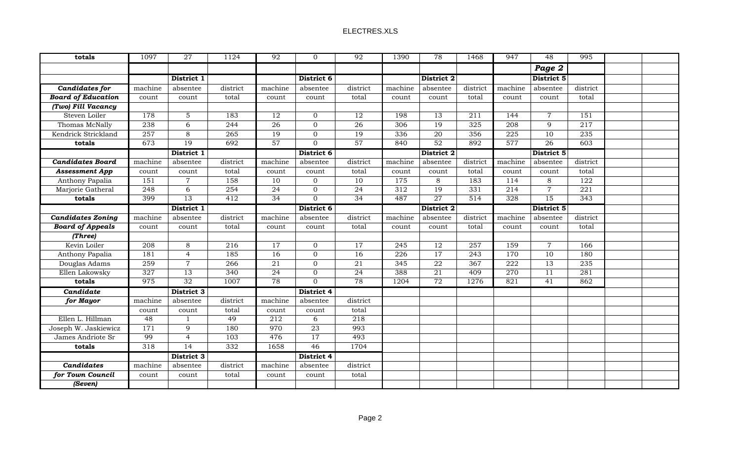| totals                    | 1097             | 27              | 1124     | 92              | $\Omega$        | 92              | 1390            | 78              | 1468     | 947              | 48              | 995              |  |
|---------------------------|------------------|-----------------|----------|-----------------|-----------------|-----------------|-----------------|-----------------|----------|------------------|-----------------|------------------|--|
|                           |                  |                 |          |                 |                 |                 |                 |                 |          |                  | Page 2          |                  |  |
|                           |                  | District 1      |          |                 | District 6      |                 |                 | District 2      |          |                  | District 5      |                  |  |
| <b>Candidates for</b>     | machine          | absentee        | district | machine         | absentee        | district        | machine         | absentee        | district | machine          | absentee        | district         |  |
| <b>Board of Education</b> | count            | count           | total    | count           | count           | total           | count           | count           | total    | count            | count           | total            |  |
| (Two) Fill Vacancy        |                  |                 |          |                 |                 |                 |                 |                 |          |                  |                 |                  |  |
| Steven Loiler             | 178              | 5               | 183      | 12              | $\overline{0}$  | 12              | 198             | 13              | 211      | 144              | $\overline{7}$  | 151              |  |
| Thomas McNally            | 238              | $\overline{6}$  | 244      | $\overline{26}$ | $\overline{0}$  | $\overline{26}$ | 306             | 19              | 325      | 208              | 9               | 217              |  |
| Kendrick Strickland       | 257              | 8               | 265      | 19              | $\overline{0}$  | 19              | 336             | 20              | 356      | 225              | 10              | 235              |  |
| totals                    | 673              | 19              | 692      | 57              | $\mathbf{0}$    | 57              | 840             | 52              | 892      | 577              | 26              | $\overline{603}$ |  |
|                           |                  | District 1      |          |                 | District 6      |                 |                 | District 2      |          |                  | District 5      |                  |  |
| <b>Candidates Board</b>   | machine          | absentee        | district | machine         | absentee        | district        | machine         | absentee        | district | machine          | absentee        | district         |  |
| <b>Assessment App</b>     | count            | count           | total    | count           | count           | total           | count           | count           | total    | count            | count           | total            |  |
| Anthony Papalia           | 151              | $\overline{7}$  | 158      | 10              | $\overline{0}$  | 10              | 175             | 8               | 183      | 114              | 8               | 122              |  |
| Marjorie Gatheral         | 248              | 6               | 254      | 24              | $\overline{0}$  | 24              | 312             | $\overline{19}$ | 331      | 214              | $\overline{7}$  | 221              |  |
| totals                    | 399              | $\overline{13}$ | 412      | $\overline{34}$ | $\mathbf{0}$    | $\overline{34}$ | 487             | $\overline{27}$ | 514      | 328              | $\overline{15}$ | $\frac{1}{343}$  |  |
|                           |                  | District 1      |          |                 | District 6      |                 |                 | District 2      |          |                  | District 5      |                  |  |
| <b>Candidates Zoning</b>  | machine          | absentee        | district | machine         | absentee        | district        | machine         | absentee        | district | machine          | absentee        | district         |  |
| <b>Board of Appeals</b>   | count            | count           | total    | count           | count           | total           | count           | count           | total    | count            | count           | total            |  |
| (Three)                   |                  |                 |          |                 |                 |                 |                 |                 |          |                  |                 |                  |  |
| Kevin Loiler              | 208              | 8               | 216      | 17              | $\overline{0}$  | $\overline{17}$ | 245             | 12              | 257      | 159              | $\overline{7}$  | 166              |  |
| Anthony Papalia           | 181              | $\overline{4}$  | 185      | 16              | $\overline{0}$  | 16              | 226             | 17              | 243      | 170              | 10              | 180              |  |
| Douglas Adams             | $\overline{259}$ | $\overline{7}$  | 266      | $\overline{21}$ | $\overline{0}$  | 21              | $\frac{1}{345}$ | $\overline{22}$ | 367      | $\overline{222}$ | $\overline{13}$ | 235              |  |
| Ellen Lakowsky            | 327              | 13              | 340      | 24              | $\mathbf 0$     | $\overline{24}$ | 388             | 21              | 409      | 270              | 11              | 281              |  |
| totals                    | 975              | 32              | 1007     | 78              | $\Omega$        | 78              | 1204            | 72              | 1276     | 821              | $\overline{41}$ | 862              |  |
| Candidate                 |                  | District 3      |          |                 | District 4      |                 |                 |                 |          |                  |                 |                  |  |
| for Mayor                 | machine          | absentee        | district | machine         | absentee        | district        |                 |                 |          |                  |                 |                  |  |
|                           | count            | count           | total    | count           | count           | total           |                 |                 |          |                  |                 |                  |  |
| Ellen L. Hillman          | 48               | -1              | 49       | 212             | 6               | 218             |                 |                 |          |                  |                 |                  |  |
| Joseph W. Jaskiewicz      | 171              | 9               | 180      | 970             | 23              | 993             |                 |                 |          |                  |                 |                  |  |
| James Andriote Sr         | 99               | $\overline{4}$  | 103      | 476             | $\overline{17}$ | 493             |                 |                 |          |                  |                 |                  |  |
| totals                    | 318              | $\overline{14}$ | 332      | 1658            | 46              | 1704            |                 |                 |          |                  |                 |                  |  |
|                           |                  | District 3      |          |                 | District 4      |                 |                 |                 |          |                  |                 |                  |  |
| <b>Candidates</b>         | machine          | absentee        | district | machine         | absentee        | district        |                 |                 |          |                  |                 |                  |  |
| for Town Council          | count            | count           | total    | count           | count           | total           |                 |                 |          |                  |                 |                  |  |
| (Seven)                   |                  |                 |          |                 |                 |                 |                 |                 |          |                  |                 |                  |  |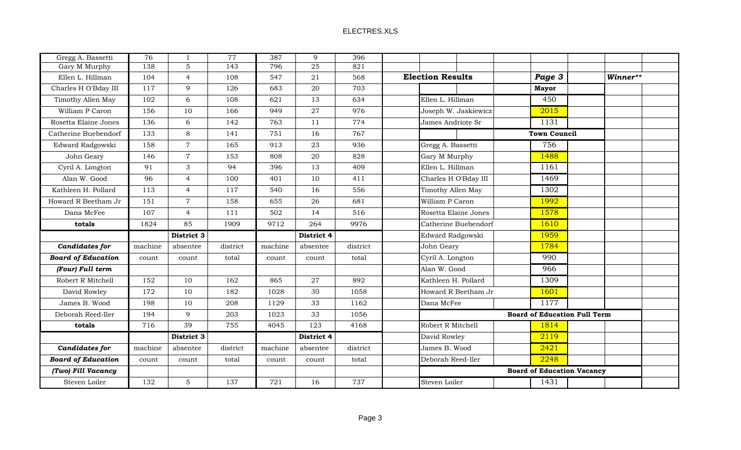| Gregg A. Bassetti         | 76      | 1              | $\overline{77}$ | 387     | 9               | 396      |                                               |  |
|---------------------------|---------|----------------|-----------------|---------|-----------------|----------|-----------------------------------------------|--|
| Gary M Murphy             | 138     | 5              | 143             | 796     | $\overline{25}$ | 821      |                                               |  |
| Ellen L. Hillman          | 104     | $\overline{4}$ | 108             | 547     | 21              | 568      | <b>Election Results</b><br>Page 3<br>Winner** |  |
| Charles H O'Bday III      | 117     | 9              | 126             | 683     | $20\,$          | 703      | <b>Mayor</b>                                  |  |
| Timothy Allen May         | 102     | 6              | 108             | 621     | 13              | 634      | 450<br>Ellen L. Hillman                       |  |
| William P Caron           | 156     | 10             | 166             | 949     | 27              | 976      | 2015<br>Joseph W. Jaskiewicz                  |  |
| Rosetta Elaine Jones      | 136     | 6              | 142             | 763     | 11              | 774      | 1131<br>James Andriote Sr                     |  |
| Catherine Buebendorf      | 133     | 8              | 141             | 751     | 16              | 767      | <b>Town Council</b>                           |  |
| Edward Radgowski          | 158     | $\overline{7}$ | 165             | 913     | 23              | 936      | 756<br>Gregg A. Bassetti                      |  |
| John Geary                | 146     | $\overline{7}$ | 153             | 808     | $20\,$          | 828      | 1488<br>Gary M Murphy                         |  |
| Cyril A. Longton          | 91      | $\mathfrak{Z}$ | 94              | 396     | 13              | 409      | 1161<br>Ellen L. Hillman                      |  |
| Alan W. Good              | 96      | $\overline{4}$ | 100             | 401     | 10              | 411      | 1469<br>Charles H O'Bday III                  |  |
| Kathleen H. Pollard       | 113     | $\overline{4}$ | 117             | 540     | 16              | 556      | 1302<br>Timothy Allen May                     |  |
| Howard R Beetham Jr       | 151     | $\overline{7}$ | 158             | 655     | 26              | 681      | 1992<br>William P Caron                       |  |
| Dana McFee                | 107     | $\overline{4}$ | 111             | 502     | 14              | 516      | 1578<br>Rosetta Elaine Jones                  |  |
| totals                    | 1824    | 85             | 1909            | 9712    | 264             | 9976     | 1610<br>Catherine Buebendorf                  |  |
|                           |         | District 3     |                 |         | District 4      |          | 1959<br>Edward Radgowski                      |  |
| Candidates for            | machine | absentee       | district        | machine | absentee        | district | 1784<br>John Geary                            |  |
| <b>Board of Education</b> | count   | count          | total           | count   | count           | total    | 990<br>Cyril A. Longton                       |  |
| (Four) Full term          |         |                |                 |         |                 |          | Alan W. Good<br>966                           |  |
| Robert R Mitchell         | 152     | 10             | 162             | 865     | 27              | 892      | 1309<br>Kathleen H. Pollard                   |  |
| David Rowley              | 172     | 10             | 182             | 1028    | 30              | 1058     | 1601<br>Howard R Beetham Jr                   |  |
| James B. Wood             | 198     | 10             | 208             | 1129    | 33              | 1162     | 1177<br>Dana McFee                            |  |
| Deborah Reed-Iler         | 194     | 9              | 203             | 1023    | 33              | 1056     | <b>Board of Education Full Term</b>           |  |
| totals                    | 716     | 39             | 755             | 4045    | 123             | 4168     | Robert R Mitchell<br>1814                     |  |
|                           |         | District 3     |                 |         | District 4      |          | 2119<br>David Rowley                          |  |
| <b>Candidates for</b>     | machine | absentee       | district        | machine | absentee        | district | 2421<br>James B. Wood                         |  |
| <b>Board of Education</b> | count   | count          | total           | count   | count           | total    | 2248<br>Deborah Reed-Iler                     |  |
| (Two) Fill Vacancy        |         |                |                 |         |                 |          | <b>Board of Education Vacancy</b>             |  |
| Steven Loiler             | 132     | 5              | 137             | 721     | 16              | 737      | 1431<br>Steven Loiler                         |  |
|                           |         |                |                 |         |                 |          |                                               |  |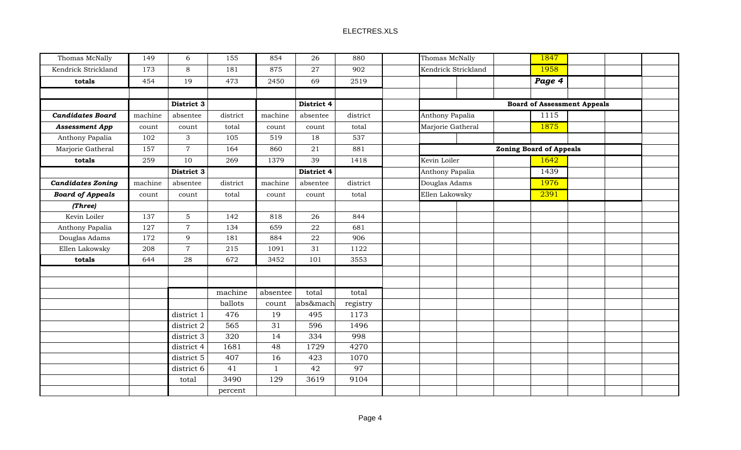| Thomas McNally           | 149     | 6              | 155      | 854          | 26         | 880      | Thomas McNally      |  | 1847                               |  |
|--------------------------|---------|----------------|----------|--------------|------------|----------|---------------------|--|------------------------------------|--|
| Kendrick Strickland      | 173     | 8              | 181      | 875          | 27         | 902      | Kendrick Strickland |  | 1958                               |  |
| totals                   | 454     | 19             | 473      | 2450         | 69         | 2519     |                     |  | Page 4                             |  |
|                          |         |                |          |              |            |          |                     |  |                                    |  |
|                          |         | District 3     |          |              | District 4 |          |                     |  | <b>Board of Assessment Appeals</b> |  |
| <b>Candidates Board</b>  | machine | absentee       | district | machine      | absentee   | district | Anthony Papalia     |  | 1115                               |  |
| <b>Assessment App</b>    | count   | count          | total    | count        | count      | total    | Marjorie Gatheral   |  | 1875                               |  |
| Anthony Papalia          | 102     | 3              | 105      | 519          | 18         | 537      |                     |  |                                    |  |
| Marjorie Gatheral        | 157     | $\overline{7}$ | 164      | 860          | 21         | 881      |                     |  | <b>Zoning Board of Appeals</b>     |  |
| totals                   | 259     | 10             | 269      | 1379         | 39         | 1418     | Kevin Loiler        |  | 1642                               |  |
|                          |         | District 3     |          |              | District 4 |          | Anthony Papalia     |  | 1439                               |  |
| <b>Candidates Zoning</b> | machine | absentee       | district | machine      | absentee   | district | Douglas Adams       |  | 1976                               |  |
| <b>Board of Appeals</b>  | count   | count          | total    | count        | count      | total    | Ellen Lakowsky      |  | 2391                               |  |
| (Three)                  |         |                |          |              |            |          |                     |  |                                    |  |
| Kevin Loiler             | 137     | $\overline{5}$ | 142      | 818          | 26         | 844      |                     |  |                                    |  |
| Anthony Papalia          | 127     | $\overline{7}$ | 134      | 659          | ${\bf 22}$ | 681      |                     |  |                                    |  |
| Douglas Adams            | 172     | 9              | 181      | 884          | 22         | 906      |                     |  |                                    |  |
| Ellen Lakowsky           | 208     | $\overline{7}$ | 215      | 1091         | 31         | 1122     |                     |  |                                    |  |
| totals                   | 644     | 28             | 672      | 3452         | 101        | 3553     |                     |  |                                    |  |
|                          |         |                |          |              |            |          |                     |  |                                    |  |
|                          |         |                |          |              |            |          |                     |  |                                    |  |
|                          |         |                | machine  | absentee     | total      | total    |                     |  |                                    |  |
|                          |         |                | ballots  | count        | abs&mach   | registry |                     |  |                                    |  |
|                          |         | district 1     | 476      | 19           | 495        | 1173     |                     |  |                                    |  |
|                          |         | district 2     | 565      | 31           | 596        | 1496     |                     |  |                                    |  |
|                          |         | district 3     | 320      | 14           | 334        | 998      |                     |  |                                    |  |
|                          |         | district 4     | 1681     | 48           | 1729       | 4270     |                     |  |                                    |  |
|                          |         | district 5     | 407      | 16           | 423        | 1070     |                     |  |                                    |  |
|                          |         | district 6     | 41       | $\mathbf{1}$ | 42         | 97       |                     |  |                                    |  |
|                          |         | total          | 3490     | 129          | 3619       | 9104     |                     |  |                                    |  |
|                          |         |                | percent  |              |            |          |                     |  |                                    |  |